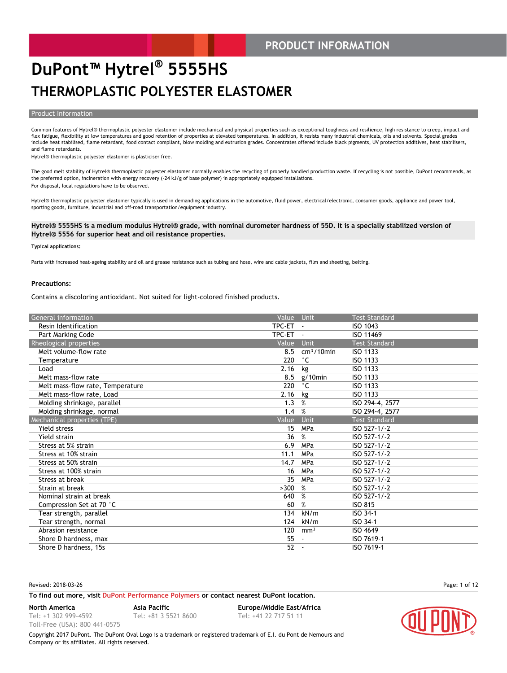### **PRODUCT INFORMATION**

### **DuPont™ Hytrel® 5555HS THERMOPLASTIC POLYESTER ELASTOMER**

### **Product Information**

Common features of Hytrel® thermoplastic polyester elastomer include mechanical and physical properties such as exceptional toughness and resilience, high resistance to creep, impact and flex fatigue, flexibility at low temperatures and good retention of properties at elevated temperatures. In addition, it resists many industrial chemicals, oils and solvents. Special grades include heat stabilised, flame retardant, food contact compliant, blow molding and extrusion grades. Concentrates offered include black pigments, UV protection additives, heat stabilisers, and flame retardants.

Hytrel® thermoplastic polyester elastomer is plasticiser free.

The good melt stability of Hytrel® thermoplastic polyester elastomer normally enables the recycling of properly handled production waste. If recycling is not possible, DuPont recommends, as the preferred option, incineration with energy recovery (-24 kJ/g of base polymer) in appropriately equipped installations. For disposal, local regulations have to be observed.

Hytrel® thermoplastic polyester elastomer typically is used in demanding applications in the automotive, fluid power, electrical/electronic, consumer goods, appliance and power tool, sporting goods, furniture, industrial and off-road transportation/equipment industry.

#### **Hytrel® 5555HS is a medium modulus Hytrel® grade, with nominal durometer hardness of 55D. It is a specially stabilized version of Hytrel® 5556 for superior heat and oil resistance properties.**

#### **Typical applications:**

Parts with increased heat-ageing stability and oil and grease resistance such as tubing and hose, wire and cable jackets, film and sheeting, belting.

#### **Precautions:**

Contains a discoloring antioxidant. Not suited for light-colored finished products.

| General information              | Value    | <b>Unit</b>     | <b>Test Standard</b> |
|----------------------------------|----------|-----------------|----------------------|
| Resin Identification             | TPC-ET   |                 | ISO 1043             |
| Part Marking Code                | TPC-ET - |                 | ISO 11469            |
| Rheological properties           | Value    | Unit            | <b>Test Standard</b> |
| Melt volume-flow rate            | 8.5      | $cm3/10$ min    | <b>ISO 1133</b>      |
| Temperature                      | 220      | $^{\circ}$ C    | ISO 1133             |
| Load                             | 2.16     | kg              | <b>ISO 1133</b>      |
| Melt mass-flow rate              | 8.5      | $g/10$ min      | <b>ISO 1133</b>      |
| Melt mass-flow rate, Temperature | 220      | $^{\circ}$ C    | ISO 1133             |
| Melt mass-flow rate, Load        | 2.16     | kg              | <b>ISO 1133</b>      |
| Molding shrinkage, parallel      | 1.3      | %               | ISO 294-4, 2577      |
| Molding shrinkage, normal        | 1.4      | %               | ISO 294-4, 2577      |
| Mechanical properties (TPE)      | Value    | Unit            | <b>Test Standard</b> |
| <b>Yield stress</b>              | 15       | MPa             | ISO 527-1/-2         |
| Yield strain                     | 36       | %               | ISO 527-1/-2         |
| Stress at 5% strain              | 6.9      | <b>MPa</b>      | ISO 527-1/-2         |
| Stress at 10% strain             | 11.1     | MPa             | ISO 527-1/-2         |
| Stress at 50% strain             | 14.7     | MPa             | ISO 527-1/-2         |
| Stress at 100% strain            | 16       | MPa             | ISO 527-1/-2         |
| Stress at break                  | 35       | MPa             | ISO 527-1/-2         |
| Strain at break                  | >300     | %               | ISO 527-1/-2         |
| Nominal strain at break          | 640      | %               | ISO 527-1/-2         |
| Compression Set at 70 °C         | 60       | %               | <b>ISO 815</b>       |
| Tear strength, parallel          | 134      | kN/m            | ISO 34-1             |
| Tear strength, normal            | 124      | kN/m            | ISO 34-1             |
| Abrasion resistance              | 120      | mm <sup>3</sup> | ISO 4649             |
| Shore D hardness, max            | 55       |                 | ISO 7619-1           |
| Shore D hardness, 15s            | 52       | $\sim$          | ISO 7619-1           |

#### Revised: 2018-03-26 Page: 1 of 12

#### **To find out more, visit [DuPont Performance Polymers](http://www2.dupont.com/Plastics/en_US/Products/index.html) or contact nearest DuPont location.**

**North America Asia Pacific Europe/Middle East/Africa**

Tel: +1 302 999-4592 Toll-Free (USA): 800 441-0575

Tel: +81 3 5521 8600 Tel: +41 22 717 51 11

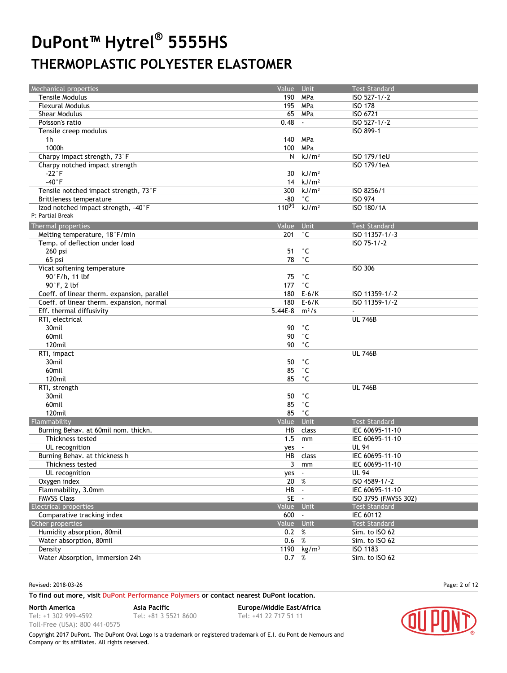| <b>Mechanical properties</b>                | Value Unit      |                        | <b>Test Standard</b> |
|---------------------------------------------|-----------------|------------------------|----------------------|
| <b>Tensile Modulus</b>                      |                 | 190 MPa                | ISO 527-1/-2         |
| <b>Flexural Modulus</b>                     | 195             | MPa                    | <b>ISO 178</b>       |
| <b>Shear Modulus</b>                        | 65              | MPa                    | ISO 6721             |
| Poisson's ratio                             | 0.48            |                        | ISO 527-1/-2         |
| Tensile creep modulus                       |                 |                        | ISO 899-1            |
| 1h                                          | 140             | MPa                    |                      |
| 1000h                                       | 100             | MPa                    |                      |
| Charpy impact strength, 73°F                | N               | kJ/m <sup>2</sup>      | ISO 179/1eU          |
| Charpy notched impact strength              |                 |                        | ISO 179/1eA          |
| $-22°$ F                                    | 30              | kJ/m <sup>2</sup>      |                      |
| $-40^{\circ}$ F                             | 14              | kJ/m <sup>2</sup>      |                      |
| Tensile notched impact strength, 73°F       |                 | 300 $kJ/m2$            | ISO 8256/1           |
| Brittleness temperature                     | -80             | $^{\circ}$ C           | <b>ISO 974</b>       |
| Izod notched impact strength, -40°F         | $110^{[P]}$     | kJ/m <sup>2</sup>      | ISO 180/1A           |
| P: Partial Break                            |                 |                        |                      |
| Thermal properties                          | Value Unit      |                        | <b>Test Standard</b> |
|                                             | 201             | $^{\circ}$ C           | ISO 11357-1/-3       |
| Melting temperature, 18°F/min               |                 |                        | $15075 - 1/2$        |
| Temp. of deflection under load              |                 |                        |                      |
| 260 psi                                     | 51              | $^{\circ}$ C           |                      |
| 65 psi                                      | 78              | $^{\circ}$ C           |                      |
| Vicat softening temperature                 |                 |                        | <b>ISO 306</b>       |
| 90°F/h, 11 lbf                              | 75              | $^{\circ}$ C           |                      |
| 90°F, 2 lbf                                 | 177             | $^{\circ}$ C           |                      |
| Coeff. of linear therm. expansion, parallel | 180             | $E-6/K$                | ISO 11359-1/-2       |
| Coeff. of linear therm. expansion, normal   |                 | 180 E-6/K              | ISO 11359-1/-2       |
| Eff. thermal diffusivity                    | $5.44E-8$       | $m^2/s$                |                      |
| RTI, electrical                             |                 |                        | <b>UL 746B</b>       |
| 30mil                                       | 90              | $^{\circ}$ C           |                      |
| 60mil                                       | 90              | °С                     |                      |
| 120mil                                      | 90              | °С                     |                      |
| RTI, impact                                 |                 |                        | <b>UL 746B</b>       |
| 30mil                                       | 50              | ۰c                     |                      |
| 60mil                                       | 85              | °С                     |                      |
| 120mil                                      | 85              | °С                     |                      |
| RTI, strength                               |                 |                        | <b>UL 746B</b>       |
| 30mil                                       | 50              | °С                     |                      |
| 60mil                                       | 85              | $^{\circ}$ C           |                      |
| 120mil                                      | 85              | $^{\circ}$ C           |                      |
| Flammability                                | Value           | Unit                   | <b>Test Standard</b> |
| Burning Behav. at 60mil nom. thickn.        | HB              | class                  | IEC 60695-11-10      |
| Thickness tested                            | 1.5             |                        | IEC 60695-11-10      |
|                                             |                 | mm                     |                      |
| UL recognition                              | yes             |                        | <b>UL 94</b>         |
| Burning Behav. at thickness h               |                 | HB class               | IEC 60695-11-10      |
| Thickness tested                            |                 | $\overline{3}$ mm      | IEC 60695-11-10      |
| UL recognition                              | yes -           |                        | <b>UL 94</b>         |
| Oxygen index                                | $20\frac{8}{6}$ |                        | ISO 4589-1/-2        |
| Flammability, 3.0mm                         | HB              |                        | IEC 60695-11-10      |
| <b>FMVSS Class</b>                          | $SE -$          |                        | ISO 3795 (FMVSS 302) |
| <b>Electrical properties</b>                | Value Unit      |                        | <b>Test Standard</b> |
| Comparative tracking index                  | $600 -$         |                        | IEC 60112            |
| Other properties                            | Value Unit      |                        | <b>Test Standard</b> |
| Humidity absorption, 80mil                  | 0.2 %           |                        | Sim. to ISO 62       |
| Water absorption, 80mil                     | 0.6             | %                      | Sim. to ISO 62       |
| Density                                     |                 | 1190 kg/m <sup>3</sup> | ISO 1183             |
| Water Absorption, Immersion 24h             | $0.7\%$         |                        | Sim. to ISO 62       |

Revised: 2018-03-26 Page: 2 of 12

#### **To find out more, visit [DuPont Performance Polymers](http://www2.dupont.com/Plastics/en_US/Products/index.html) or contact nearest DuPont location.**

**North America Asia Pacific Europe/Middle East/Africa**

Tel: +1 302 999-4592 Toll-Free (USA): 800 441-0575

Tel: +81 3 5521 8600 Tel: +41 22 717 51 11

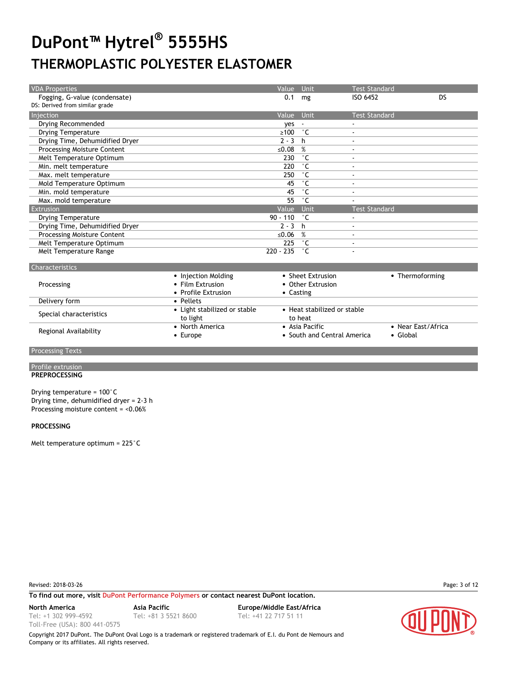| <b>VDA Properties</b>              | Value Unit |              | <b>Test Standard</b>     |    |
|------------------------------------|------------|--------------|--------------------------|----|
| Fogging, G-value (condensate)      | 0.1        | mg           | ISO 6452                 | DS |
| DS: Derived from similar grade     |            |              |                          |    |
| Injection                          | Value Unit |              | <b>Test Standard</b>     |    |
| Drying Recommended                 | ves        |              | $\blacksquare$           |    |
| <b>Drying Temperature</b>          | $\geq 100$ | $^{\circ}$ C | $\blacksquare$           |    |
| Drying Time, Dehumidified Dryer    | $2 - 3$    | h.           | $\blacksquare$           |    |
| Processing Moisture Content        | ≤0.08      | %            | $\blacksquare$           |    |
| Melt Temperature Optimum           | 230        | ۰c           | $\blacksquare$           |    |
| Min. melt temperature              | 220        | ۰c           | $\blacksquare$           |    |
| Max. melt temperature              | 250        | $^{\circ}$ C | $\overline{\phantom{a}}$ |    |
| Mold Temperature Optimum           | 45         | ۰c           | $\overline{\phantom{a}}$ |    |
| Min. mold temperature              | 45         | ۰c           | $\overline{\phantom{a}}$ |    |
| Max. mold temperature              | 55         | $^{\circ}$ C |                          |    |
| Extrusion                          | Value      | Unit         | <b>Test Standard</b>     |    |
| <b>Drying Temperature</b>          | $90 - 110$ | $^{\circ}$ C | $\blacksquare$           |    |
| Drying Time, Dehumidified Dryer    | $2 - 3 h$  |              | $\blacksquare$           |    |
| <b>Processing Moisture Content</b> | ≤ $0.06$   | %            | $\blacksquare$           |    |
| Melt Temperature Optimum           | 225        | $^{\circ}$ C | $\sim$                   |    |
| Melt Temperature Range             | 220 - 235  | ŮС           |                          |    |
|                                    |            |              |                          |    |
| <b>Characteristics</b>             |            |              |                          |    |

| $-1191999991777$        |                                          |                                               |                                        |  |
|-------------------------|------------------------------------------|-----------------------------------------------|----------------------------------------|--|
| Processing              | • Injection Molding<br>• Film Extrusion  | • Sheet Extrusion<br>• Other Extrusion        | • Thermoforming                        |  |
|                         | • Profile Extrusion                      | • Casting                                     |                                        |  |
| Delivery form           | • Pellets                                |                                               |                                        |  |
| Special characteristics | • Light stabilized or stable<br>to light | • Heat stabilized or stable<br>to heat        |                                        |  |
| Regional Availability   | • North America<br>$\bullet$ Europe      | • Asia Pacific<br>• South and Central America | • Near East/Africa<br>$\bullet$ Global |  |
|                         |                                          |                                               |                                        |  |

**Processing Texts** 

#### Profile extrusion **PREPROCESSING**

Drying temperature = 100°C Drying time, dehumidified dryer = 2-3 h Processing moisture content = <0.06%

#### **PROCESSING**

Melt temperature optimum = 225°C

Revised: 2018-03-26 Page: 3 of 12

**To find out more, visit [DuPont Performance Polymers](http://www2.dupont.com/Plastics/en_US/Products/index.html) or contact nearest DuPont location.**

Tel: +1 302 999-4592

Toll-Free (USA): 800 441-0575

Tel: +81 3 5521 8600 Tel: +41 22 717 51 11

**North America Asia Pacific Europe/Middle East/Africa**

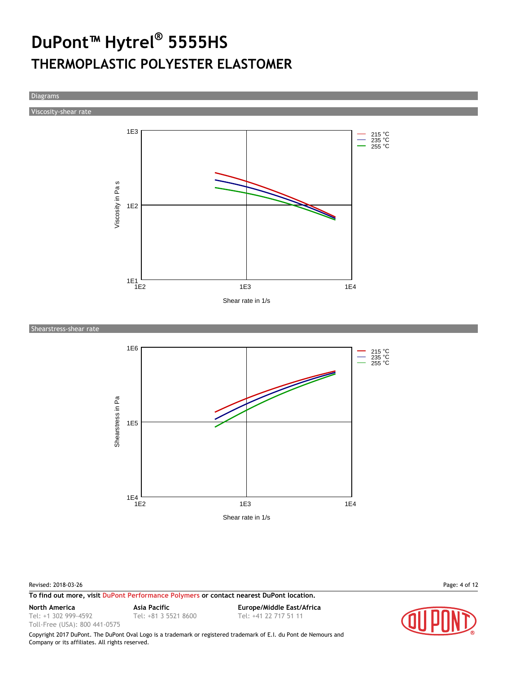Diagrams

Viscosity-shear rate



Shearstress-shear rate



Revised: 2018-03-26 Page: 4 of 12

**To find out more, visit [DuPont Performance Polymers](http://www2.dupont.com/Plastics/en_US/Products/index.html) or contact nearest DuPont location.**

Tel: +1 302 999-4592

Toll-Free (USA): 800 441-0575

Tel: +81 3 5521 8600 Tel: +41 22 717 51 11

**North America Asia Pacific Europe/Middle East/Africa**

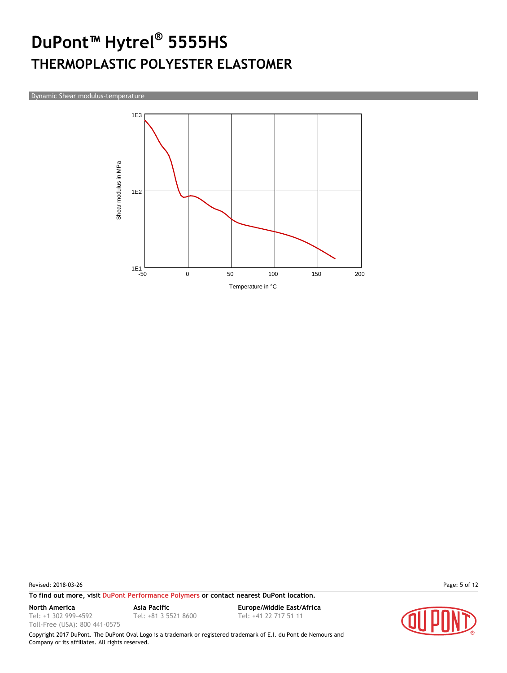Dynamic Shear modulus-temperature



Revised: 2018-03-26 Page: 5 of 12

**To find out more, visit [DuPont Performance Polymers](http://www2.dupont.com/Plastics/en_US/Products/index.html) or contact nearest DuPont location.**

Tel: +1 302 999-4592

Toll-Free (USA): 800 441-0575

Tel: +81 3 5521 8600 Tel: +41 22 717 51 11

**North America Asia Pacific Europe/Middle East/Africa**

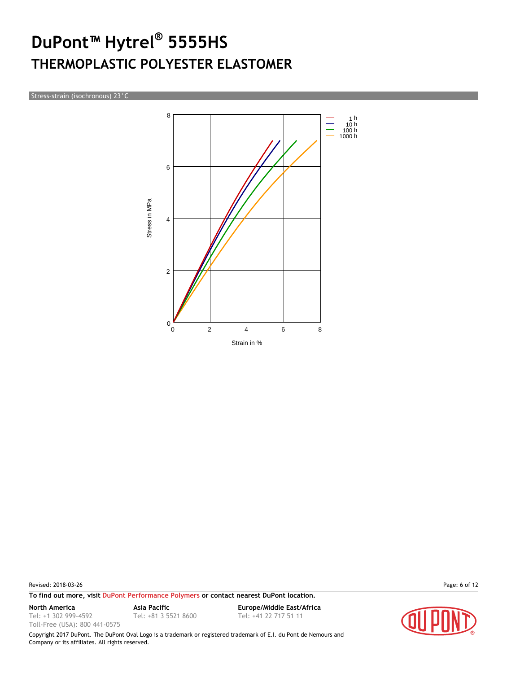Stress-strain (isochronous) 23°C



Revised: 2018-03-26 Page: 6 of 12

**To find out more, visit [DuPont Performance Polymers](http://www2.dupont.com/Plastics/en_US/Products/index.html) or contact nearest DuPont location.**

Tel: +1 302 999-4592

Toll-Free (USA): 800 441-0575

Tel: +81 3 5521 8600 Tel: +41 22 717 51 11

**North America Asia Pacific Europe/Middle East/Africa**

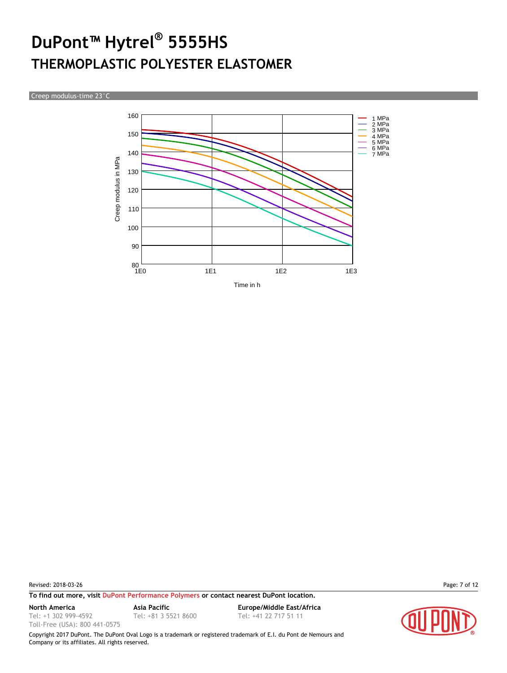Creep modulus-time 23°C



Revised: 2018-03-26 Page: 7 of 12

**To find out more, visit [DuPont Performance Polymers](http://www2.dupont.com/Plastics/en_US/Products/index.html) or contact nearest DuPont location.**

Tel: +1 302 999-4592

Toll-Free (USA): 800 441-0575

Tel: +81 3 5521 8600 Tel: +41 22 717 51 11

**North America Asia Pacific Europe/Middle East/Africa**

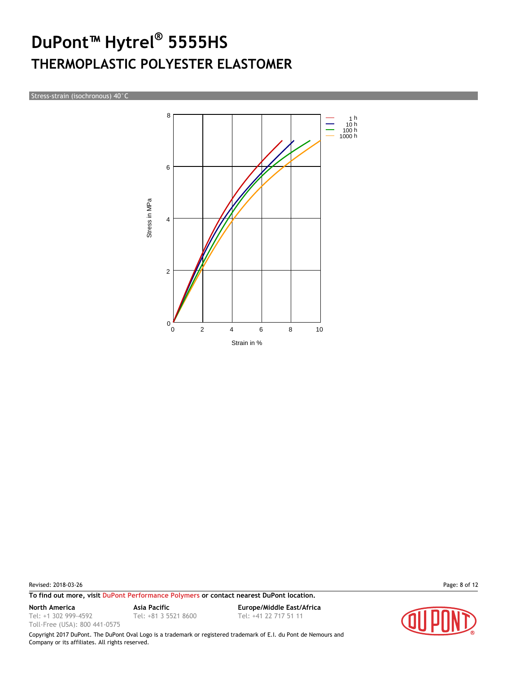Stress-strain (isochronous) 40°C



Revised: 2018-03-26 Page: 8 of 12

**To find out more, visit [DuPont Performance Polymers](http://www2.dupont.com/Plastics/en_US/Products/index.html) or contact nearest DuPont location.**

Tel: +1 302 999-4592 Toll-Free (USA): 800 441-0575

**North America Asia Pacific Europe/Middle East/Africa** Tel: +81 3 5521 8600 Tel: +41 22 717 51 11

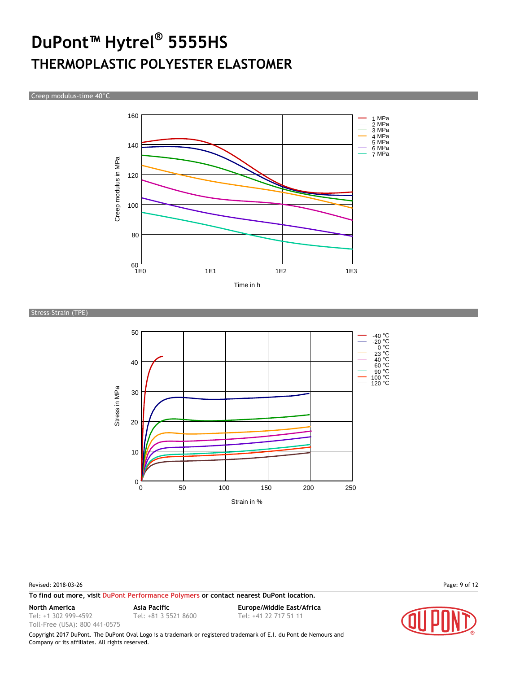Creep modulus-time 40°C



Stress-Strain (TPE)



Revised: 2018-03-26 Page: 9 of 12

**To find out more, visit [DuPont Performance Polymers](http://www2.dupont.com/Plastics/en_US/Products/index.html) or contact nearest DuPont location.**

Tel: +1 302 999-4592

Toll-Free (USA): 800 441-0575

**North America Asia Pacific Europe/Middle East/Africa** Tel: +81 3 5521 8600 Tel: +41 22 717 51 11

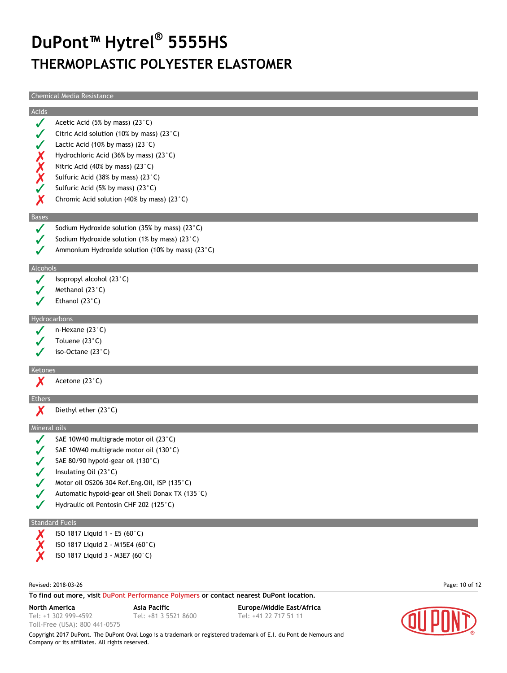Chemical Media Resistance

|                  | Crienneal Media Resistance                                |
|------------------|-----------------------------------------------------------|
| Acids            |                                                           |
| $\checkmark$     | Acetic Acid (5% by mass) (23°C)                           |
|                  | Citric Acid solution (10% by mass) (23 $^{\circ}$ C)      |
|                  | Lactic Acid (10% by mass) $(23^{\circ}C)$                 |
|                  | Hydrochloric Acid (36% by mass) (23°C)                    |
|                  | Nitric Acid (40% by mass) (23°C)                          |
| XXXX             | Sulfuric Acid (38% by mass) (23°C)                        |
|                  | Sulfuric Acid (5% by mass) (23°C)                         |
| Х                | Chromic Acid solution (40% by mass) (23 $^{\circ}$ C)     |
|                  |                                                           |
| <b>Bases</b>     |                                                           |
| $\boldsymbol{J}$ | Sodium Hydroxide solution (35% by mass) (23 $^{\circ}$ C) |
|                  | Sodium Hydroxide solution (1% by mass) (23 $^{\circ}$ C)  |
|                  | Ammonium Hydroxide solution (10% by mass) (23°C)          |
| Alcohols         |                                                           |
|                  | Isopropyl alcohol (23°C)                                  |
|                  | Methanol (23°C)                                           |
|                  | Ethanol $(23^{\circ}C)$                                   |
|                  |                                                           |
|                  | Hydrocarbons                                              |
|                  | n-Hexane $(23^{\circ}C)$                                  |
|                  | Toluene (23°C)                                            |
|                  | iso-Octane $(23^{\circ}C)$                                |
| Ketones          |                                                           |
| Х                | Acetone (23°C)                                            |
| Ethers           |                                                           |
| Х                | Diethyl ether (23°C)                                      |
|                  |                                                           |
| Mineral oils     |                                                           |
|                  | SAE 10W40 multigrade motor oil (23°C)                     |
|                  | SAE 10W40 multigrade motor oil (130°C)                    |
|                  | SAE 80/90 hypoid-gear oil (130°C)                         |
|                  | Insulating Oil (23°C)                                     |
|                  | Motor oil OS206 304 Ref.Eng.Oil, ISP (135°C)              |
|                  | Automatic hypoid-gear oil Shell Donax TX (135°C)          |
|                  | Hydraulic oil Pentosin CHF 202 (125°C)                    |
|                  | <b>Standard Fuels</b>                                     |
| Х                | ISO 1817 Liquid 1 - E5 (60°C)                             |
|                  | ISO 1817 Liquid 2 - M15E4 (60°C)                          |
|                  | ISO 1817 Liquid 3 - M3E7 (60°C)                           |
|                  |                                                           |
|                  |                                                           |

Revised: 2018-03-26 Page: 10 of 12

Toll-Free (USA): 800 441-0575

**To find out more, visit [DuPont Performance Polymers](http://www2.dupont.com/Plastics/en_US/Products/index.html) or contact nearest DuPont location.**

Tel: +1 302 999-4592

Tel: +81 3 5521 8600 Tel: +41 22 717 51 11

**North America Asia Pacific Europe/Middle East/Africa**

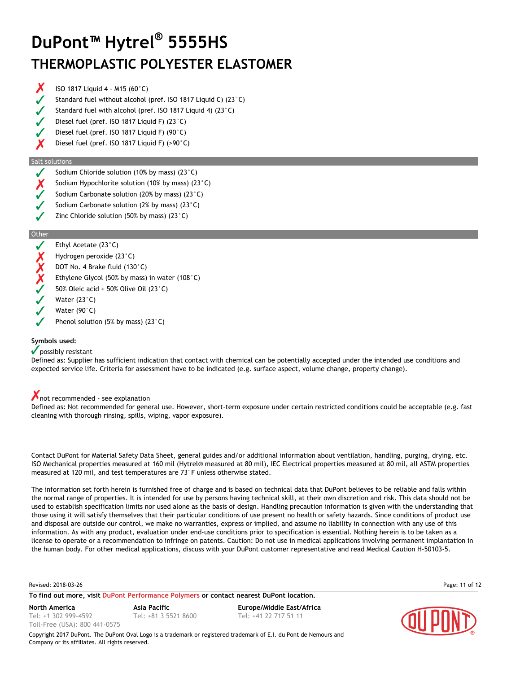- X ISO 1817 Liquid 4 - M15 (60°C)
- Standard fuel without alcohol (pref. ISO 1817 Liquid C) (23°C)
- Standard fuel with alcohol (pref. ISO 1817 Liquid 4) (23°C)
- Diesel fuel (pref. ISO 1817 Liquid F) (23°C)
- Diesel fuel (pref. ISO 1817 Liquid F) (90°C)
- Diesel fuel (pref. ISO 1817 Liquid F) (>90°C)

#### Salt solutions

- Sodium Chloride solution (10% by mass) (23°C)
- Sodium Hypochlorite solution (10% by mass) (23°C)
- Sodium Carbonate solution (20% by mass) (23°C)
- Sodium Carbonate solution (2% by mass) (23°C)
- Zinc Chloride solution (50% by mass) (23°C)

#### **Other**



Phenol solution (5% by mass) (23°C)

### **Symbols used:**

#### $\sqrt{\ }$  possibly resistant

Defined as: Supplier has sufficient indication that contact with chemical can be potentially accepted under the intended use conditions and expected service life. Criteria for assessment have to be indicated (e.g. surface aspect, volume change, property change).

### not recommended - see explanation

Defined as: Not recommended for general use. However, short-term exposure under certain restricted conditions could be acceptable (e.g. fast cleaning with thorough rinsing, spills, wiping, vapor exposure).

Contact DuPont for Material Safety Data Sheet, general guides and/or additional information about ventilation, handling, purging, drying, etc. ISO Mechanical properties measured at 160 mil (Hytrel® measured at 80 mil), IEC Electrical properties measured at 80 mil, all ASTM properties measured at 120 mil, and test temperatures are 73°F unless otherwise stated.

The information set forth herein is furnished free of charge and is based on technical data that DuPont believes to be reliable and falls within the normal range of properties. It is intended for use by persons having technical skill, at their own discretion and risk. This data should not be used to establish specification limits nor used alone as the basis of design. Handling precaution information is given with the understanding that those using it will satisfy themselves that their particular conditions of use present no health or safety hazards. Since conditions of product use and disposal are outside our control, we make no warranties, express or implied, and assume no liability in connection with any use of this information. As with any product, evaluation under end-use conditions prior to specification is essential. Nothing herein is to be taken as a license to operate or a recommendation to infringe on patents. Caution: Do not use in medical applications involving permanent implantation in the human body. For other medical applications, discuss with your DuPont customer representative and read Medical Caution H-50103-5.

Revised: 2018-03-26 Page: 11 of 12

**To find out more, visit [DuPont Performance Polymers](http://www2.dupont.com/Plastics/en_US/Products/index.html) or contact nearest DuPont location.**

Tel: +1 302 999-4592 Toll-Free (USA): 800 441-0575

**North America Asia Pacific Europe/Middle East/Africa** Tel: +81 3 5521 8600 Tel: +41 22 717 51 11